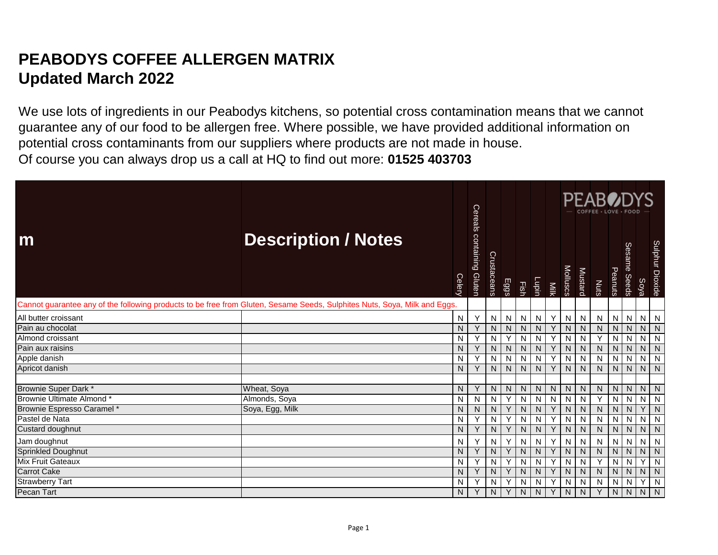## **PEABODYS COFFEE ALLERGEN MATRIX Updated March 2022**

We use lots of ingredients in our Peabodys kitchens, so potential cross contamination means that we cannot guarantee any of our food to be allergen free. Where possible, we have provided additional information on potential cross contaminants from our suppliers where products are not made in house. Of course you can always drop us a call at HQ to find out more: **01525 403703** 

|                                                                                                                           |                            |        | Cereals                     |              |             |             |       |              |          |                | <b>PEABODYS</b><br>COFFEE · LOVE · FOOI |              |                        |      |                 |
|---------------------------------------------------------------------------------------------------------------------------|----------------------------|--------|-----------------------------|--------------|-------------|-------------|-------|--------------|----------|----------------|-----------------------------------------|--------------|------------------------|------|-----------------|
| m                                                                                                                         | <b>Description / Notes</b> | Celery | containing<br><b>Gluten</b> | Crustaceans  | <b>Eggs</b> | <b>Fish</b> | Lupin | Milk         | Molluscs | Mustard        | Nuts                                    | Peanuts      | <b>Sesame</b><br>Seeds | Soya | Sulphur Dioxide |
| Cannot guarantee any of the following products to be free from Gluten, Sesame Seeds, Sulphites Nuts, Soya, Milk and Eggs. |                            |        |                             |              |             |             |       |              |          |                |                                         |              |                        |      |                 |
| All butter croissant                                                                                                      |                            | N      | Υ                           | N            | ${\sf N}$   | N           | N     | Y            | N        | $\mathsf{N}$   | N                                       | N            | N                      | N    | N               |
| Pain au chocolat                                                                                                          |                            | N      | Y                           | $\mathsf{N}$ | N           | N.          | N     | Y            | N        | N              | $\mathsf{N}$                            | N            | N                      | N.   | N               |
| Almond croissant                                                                                                          |                            | N      | Υ                           | $\mathsf{N}$ | Υ           | N           | N     | Υ            | N        | N              | Y                                       | N            | N                      | N    | N               |
| Pain aux raisins                                                                                                          |                            | N      | Y                           | $\mathsf{N}$ | ${\sf N}$   | N           | N     | Y            | N        | N              | ${\sf N}$                               | N            | $\mathsf{N}$           | N    | N               |
| Apple danish                                                                                                              |                            | N      | Y                           | $\mathsf{N}$ | N           | N           | N     | Y            | N        | N              | N                                       | N            | N                      | N    | N               |
| Apricot danish                                                                                                            |                            | N      |                             | N            | N           | N           | N     | $\checkmark$ | N        | N.             | N                                       | N            | N                      | N.   | $\mathsf{N}$    |
| Brownie Super Dark *                                                                                                      | Wheat, Soya                | N      | Υ                           | N            | N           | N           | N     | N            | N        | N              | N                                       | N            | ${\sf N}$              | N    | N               |
| Brownie Ultimate Almond*                                                                                                  | Almonds, Soya              | N      | N                           | N            | Y           | N           | N     | N            | N        | N              | Y                                       | N            | N                      | N    | N               |
| Brownie Espresso Caramel*                                                                                                 | Soya, Egg, Milk            | N      | N                           | N            | Υ           | N           | N     | Y            | N        | N              | N                                       | N            | N                      |      | N               |
| Pastel de Nata                                                                                                            |                            | N      | Υ                           | N            |             | N           | N     |              | N        | N              | N                                       | N            | N                      | N    | N               |
| Custard doughnut                                                                                                          |                            | N      | Y                           | $\mathsf{N}$ | Υ           | N           | N     | Y            | N        | $\overline{N}$ | $\overline{N}$                          | $\mathsf{N}$ | $\mathsf{N}$           | N.   | N               |
| Jam doughnut                                                                                                              |                            | N      |                             | N            |             | N           | N     | Υ            | N        | N              | N                                       | N            | N                      | N    | N               |
| <b>Sprinkled Doughnut</b>                                                                                                 |                            | N      | ٧                           | $\mathsf{N}$ |             | N           | N     | Υ            | N        | N              | N                                       | N            | N                      | N    | N               |
| <b>Mix Fruit Gateaux</b>                                                                                                  |                            | N      | Υ                           | N            |             | N           | N     | $\checkmark$ | N        | N              |                                         | N            | N                      |      | N               |
| <b>Carrot Cake</b>                                                                                                        |                            | N      |                             | N            | Y           | N           | N     | Υ            | N        | $\overline{N}$ | $\mathsf{N}$                            | N            | N                      | N    | N               |
| <b>Strawberry Tart</b>                                                                                                    |                            | N      | Υ                           | N            | Y           | N           | N     | Υ            | N        | N              | N                                       | N            | N                      | Υ    | N               |
| Pecan Tart                                                                                                                |                            | N      | Υ                           | N            | Y           | N.          | N     | Y            | N        | N.             |                                         | N            | N                      | N    | $\overline{N}$  |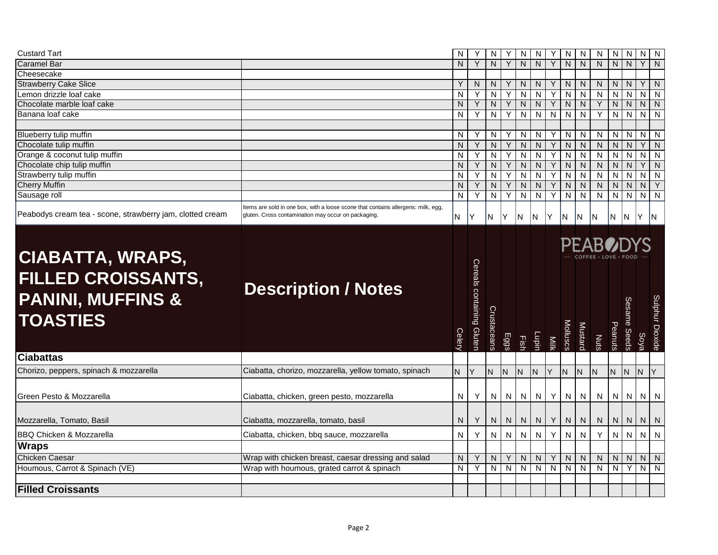| <b>Custard Tart</b>                                                                                                         |                                                                                                                                          | N            |                           | N              |           | N            | N              |      | N            | N                       | N                      | N                 | N            | N              | N               |
|-----------------------------------------------------------------------------------------------------------------------------|------------------------------------------------------------------------------------------------------------------------------------------|--------------|---------------------------|----------------|-----------|--------------|----------------|------|--------------|-------------------------|------------------------|-------------------|--------------|----------------|-----------------|
| <b>Caramel Bar</b>                                                                                                          |                                                                                                                                          | N            | Y                         | N              | Y         | N            | N              | Y    | N            | N                       | N.                     | $\mathsf{N}$      | $\mathsf{N}$ | Y              | $\mathsf{N}$    |
| Cheesecake                                                                                                                  |                                                                                                                                          |              |                           |                |           |              |                |      |              |                         |                        |                   |              |                |                 |
| <b>Strawberry Cake Slice</b>                                                                                                |                                                                                                                                          | Y            | N                         | N              |           | N            | N              |      | N            | N                       | N                      | N                 | N            | Y              | N               |
| Lemon drizzle loaf cake                                                                                                     |                                                                                                                                          | N            | Υ                         | $\mathsf{N}$   | Y         | $\mathsf{N}$ | N              | Υ    | N            | N                       | ${\sf N}$              | $\overline{N}$    | N            | $\overline{N}$ | N               |
| Chocolate marble loaf cake                                                                                                  |                                                                                                                                          | N            | Y                         | N              | Y         | N            | N              | Y    | N            | N                       | Y                      | $\overline{N}$    | N            | $\overline{N}$ | $\overline{N}$  |
| Banana loaf cake                                                                                                            |                                                                                                                                          | N            | Y                         | $\overline{N}$ | Y         | $\mathsf{N}$ | N              | N    | N            | N                       | Y                      | $\overline{N}$    | N            | $\overline{N}$ | N               |
|                                                                                                                             |                                                                                                                                          |              |                           |                |           |              |                |      |              |                         |                        |                   |              |                |                 |
| Blueberry tulip muffin                                                                                                      |                                                                                                                                          | N            | Y                         | N              | Υ         | N            | N              | Y    | N            | N                       | N                      | $\overline{N}$    | N            | $\overline{N}$ | N               |
| Chocolate tulip muffin                                                                                                      |                                                                                                                                          | ${\sf N}$    | Y                         | N              | Υ         | $\mathsf{N}$ | N              | Y    | N            | N                       | ${\sf N}$              | N                 | $\mathsf{N}$ | Y              | $\mathsf{N}$    |
| Orange & coconut tulip muffin                                                                                               |                                                                                                                                          | ${\sf N}$    | Υ                         | $\mathsf{N}$   | Υ         | $\mathsf{N}$ | ${\sf N}$      | Υ    | N            | $\mathsf{N}$            | ${\sf N}$              | N                 | N            | $\mathsf{N}$   | N               |
| Chocolate chip tulip muffin                                                                                                 |                                                                                                                                          | $\mathsf{N}$ | Y                         | N <sub>1</sub> | Y         | $\mathsf{N}$ | N              | Y    | N            | N                       | $\mathsf{N}$           | $\overline{N}$    | N            | Y              | N               |
| Strawberry tulip muffin                                                                                                     |                                                                                                                                          | N            | Υ                         | N              | Υ         | $\mathsf{N}$ | N              | Υ    | N            | $\overline{\mathsf{N}}$ | ${\sf N}$              | N                 | N            | $\mathsf{N}$   | N               |
| <b>Cherry Muffin</b>                                                                                                        |                                                                                                                                          | N            | Y                         | $\mathsf{N}$   | Y         | $\mathsf{N}$ | ${\sf N}$      | Y    | $\mathsf{N}$ | $\overline{N}$          | $\overline{N}$         | $\overline{N}$    | N            | $\overline{N}$ | Y               |
| Sausage roll                                                                                                                |                                                                                                                                          | $\mathsf{N}$ | Y                         | ${\sf N}$      | Y         | $\mathsf{N}$ | N              | Y    | N            | N                       | ${\sf N}$              | $\mathbf{z}$      | N            | $\overline{N}$ | $\overline{N}$  |
| Peabodys cream tea - scone, strawberry jam, clotted cream                                                                   | Items are sold in one box, with a loose scone that contains allergens: milk, egg,<br>gluten. Cross contamination may occur on packaging. | N            | Υ                         | N              | lY.       | IN.          | N              | lY.  | N)           | IN.                     | N                      | N.                | IN.          | Y IN           |                 |
| <b>CIABATTA, WRAPS,</b><br><b>FILLED CROISSANTS,</b><br><b>PANINI, MUFFINS &amp;</b><br><b>TOASTIES</b><br><b>Ciabattas</b> | <b>Description / Notes</b>                                                                                                               | Celery       | Cereals containing Gluten | Crustaceans    | Eggs      | 国            | Lupin          | Nilk | Molluscs     | Mustard                 | <b>PEAB</b> OD<br>Nuts | Peanuts           | Sesame Seeds | <b>Soya</b>    | Sulphur Dioxide |
|                                                                                                                             |                                                                                                                                          |              |                           |                |           |              |                |      |              |                         |                        |                   |              |                |                 |
| Chorizo, peppers, spinach & mozzarella                                                                                      | Ciabatta, chorizo, mozzarella, yellow tomato, spinach                                                                                    | N.           | Υ                         | ${\sf N}$      | N         | $\mathsf{N}$ | N              | Υ    | N            | N                       | ${\sf N}$              | N                 | N            | N.<br>Y        |                 |
| Green Pesto & Mozzarella                                                                                                    | Ciabatta, chicken, green pesto, mozzarella                                                                                               | N            | Y                         | N              | ${\sf N}$ | $\mathsf{N}$ | N              | Y    | N            | N                       | ${\sf N}$              | N                 | N            | $N$   $N$      |                 |
| Mozzarella, Tomato, Basil                                                                                                   |                                                                                                                                          |              |                           |                |           |              |                | Υ    | N            | ${\sf N}$               |                        |                   | ${\sf N}$    | N              | N               |
|                                                                                                                             | Ciabatta, mozzarella, tomato, basil                                                                                                      | N            | Y                         | N              | ${\sf N}$ | $\mathsf{N}$ | ${\sf N}$      |      |              |                         | N                      | N                 |              |                |                 |
| <b>BBQ Chicken &amp; Mozzarella</b>                                                                                         | Ciabatta, chicken, bbq sauce, mozzarella                                                                                                 | $\mathsf{N}$ | Y                         | N              | ${\sf N}$ | $\mathsf{N}$ | N              | Υ    | N            | N                       | Y                      | N                 | N            | N              | N               |
| <b>Wraps</b>                                                                                                                |                                                                                                                                          |              |                           |                |           |              |                |      |              |                         |                        |                   |              |                |                 |
| <b>Chicken Caesar</b>                                                                                                       |                                                                                                                                          | N            | Y                         | N              |           | N            |                | Υ    | N            | N                       |                        |                   | N            | N              | N               |
| Houmous, Carrot & Spinach (VE)                                                                                              | Wrap with chicken breast, caesar dressing and salad<br>Wrap with houmous, grated carrot & spinach                                        | N            | Y                         | $\mathsf{N}$   | ${\sf N}$ | $\mathsf{N}$ | ${\sf N}$<br>N | N    | N            | N                       | N<br>N                 | N<br>$\mathbf{z}$ | Y            | N              | N               |
|                                                                                                                             |                                                                                                                                          |              |                           |                |           |              |                |      |              |                         |                        |                   |              |                |                 |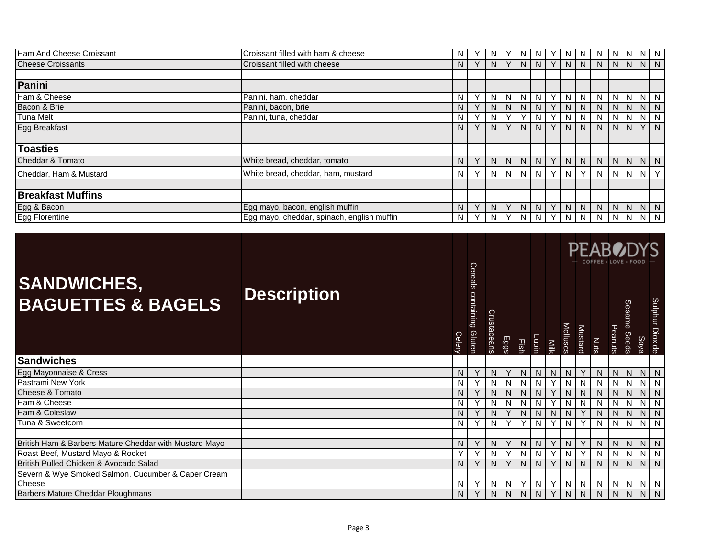| Ham And Cheese Croissant | Croissant filled with ham & cheese         | N. |           | N              |                | N | N  | N              | N            | N            | N  | N  | N.             | N       |
|--------------------------|--------------------------------------------|----|-----------|----------------|----------------|---|----|----------------|--------------|--------------|----|----|----------------|---------|
| <b>Cheese Croissants</b> | Croissant filled with cheese               | N  |           | N              |                | N | N. | <sup>N</sup>   | <sub>N</sub> | N.           | N. | N. | N              | N       |
|                          |                                            |    |           |                |                |   |    |                |              |              |    |    |                |         |
| Panini                   |                                            |    |           |                |                |   |    |                |              |              |    |    |                |         |
| Ham & Cheese             | Panini, ham, cheddar                       | N  | $\sqrt{}$ | N              | N.             | N | N  | N              | N            | N            | N. | N  | N              | N       |
| Bacon & Brie             | Panini, bacon, brie                        | N  |           | N              | N.             | N | N  | N              |              | <sub>N</sub> | N. | N. | N              | N       |
| <b>Tuna Melt</b>         | Panini, tuna, cheddar                      | N  |           | N              |                |   | N  |                | -N           | N            |    | N  | N.             | N       |
| <b>Egg Breakfast</b>     |                                            | N  |           | N              |                | N | N. | N.             | <sup>N</sup> | N.           | N  | N. | Y              | N       |
|                          |                                            |    |           |                |                |   |    |                |              |              |    |    |                |         |
| <b>Toasties</b>          |                                            |    |           |                |                |   |    |                |              |              |    |    |                |         |
| Cheddar & Tomato         | White bread, cheddar, tomato               | N. | $\vee$    | N <sub>1</sub> | N <sub>1</sub> | N | N. | $\overline{N}$ | N            | N.           | N  | N  |                | $N$ $N$ |
| Cheddar, Ham & Mustard   | White bread, cheddar, ham, mustard         | N  |           | N <sub>1</sub> | $N_{\rm A}$    | N | N. | N.             |              | N.           | N  | N  | N              | Y       |
|                          |                                            |    |           |                |                |   |    |                |              |              |    |    |                |         |
| <b>Breakfast Muffins</b> |                                            |    |           |                |                |   |    |                |              |              |    |    |                |         |
| Egg & Bacon              | Egg mayo, bacon, english muffin            | N  | $\sqrt{}$ | N              | $\checkmark$   | N | N. | N              | N            | N.           | N  | N. | N              | N       |
| <b>Egg Florentine</b>    | Egg mayo, cheddar, spinach, english muffin | N  |           | N              |                | N | N  | N.             | <sub>N</sub> | N.           | N  | N. | N <sub>1</sub> | N       |

|                                                        |                    |        |                           |             |      |      |              |             |                 |                | <b>PEAB</b><br>COFFEE · LOVE · FOOD |                |                               |                |                 |
|--------------------------------------------------------|--------------------|--------|---------------------------|-------------|------|------|--------------|-------------|-----------------|----------------|-------------------------------------|----------------|-------------------------------|----------------|-----------------|
| <b>SANDWICHES,</b><br><b>BAGUETTES &amp; BAGELS</b>    | <b>Description</b> | Celery | Cereals containing Gluten | Crustaceans | Eggs | Fish | <b>Tabin</b> | <b>Nilk</b> | <b>Molluscs</b> | <b>Mustard</b> | Nuts                                | Peanuts        | <b>Sesame</b><br><b>Seeds</b> | Soya           | Sulphur Dioxide |
| <b>Sandwiches</b>                                      |                    |        |                           |             |      |      |              |             |                 |                |                                     |                |                               |                |                 |
| Egg Mayonnaise & Cress                                 |                    | N      |                           | N           |      | N    | N.           | N           | N               | Y              | N                                   | N              | N                             | $N$   $N$      |                 |
| Pastrami New York                                      |                    | N      | Υ                         | N           | N    | N    | N            | Υ           | N               | N              | Ν                                   | $\overline{z}$ | N                             | $\overline{N}$ | N               |
| Cheese & Tomato                                        |                    | N      |                           | N           | N    | N    | N            | Υ           | N               | N              | N                                   | N.             | N                             | N.             | N               |
| Ham & Cheese                                           |                    | N      |                           | N           | N    | N    | N            |             | N               | N              | N                                   | N.             | N                             | N              | N               |
| Ham & Coleslaw                                         |                    | N      |                           | N           | Y    | N    | N            | N           | N               | Y              | N                                   | N.             | N                             | N.             | N               |
| Tuna & Sweetcorn                                       |                    | N      |                           | N           | v    |      | N            |             | N               | Y              | N                                   | N              | N                             | N              | $\mathsf{N}$    |
|                                                        |                    |        |                           |             |      |      |              |             |                 |                |                                     |                |                               |                |                 |
| British Ham & Barbers Mature Cheddar with Mustard Mayo |                    | N      |                           | N           | Y    | N    | N            | Υ           | N               | Y              | N                                   | N              | N                             | N.             | N               |
| Roast Beef, Mustard Mayo & Rocket                      |                    | Υ      | $\checkmark$              | N           | Υ    | N    | N            | Υ           | N               | Y              | N                                   | $\overline{z}$ | N                             | N              | N               |
| British Pulled Chicken & Avocado Salad                 |                    | N      |                           | N           | Y    | N    | N.           |             | N               | N              | N                                   | N              | N                             | N.             | N               |
| Severn & Wye Smoked Salmon, Cucumber & Caper Cream     |                    |        |                           |             |      |      |              |             |                 |                |                                     |                |                               |                |                 |
| Cheese                                                 |                    | N      |                           | N           | N.   | Y    | N            | Υ           | N               | N              | N                                   | N              | N                             | $N \mid N$     |                 |
| <b>Barbers Mature Cheddar Ploughmans</b>               |                    | N      |                           | N           | N    | N    | N            | Υ           | <sub>N</sub>    | N              | N                                   | N              | N                             | N.             | N               |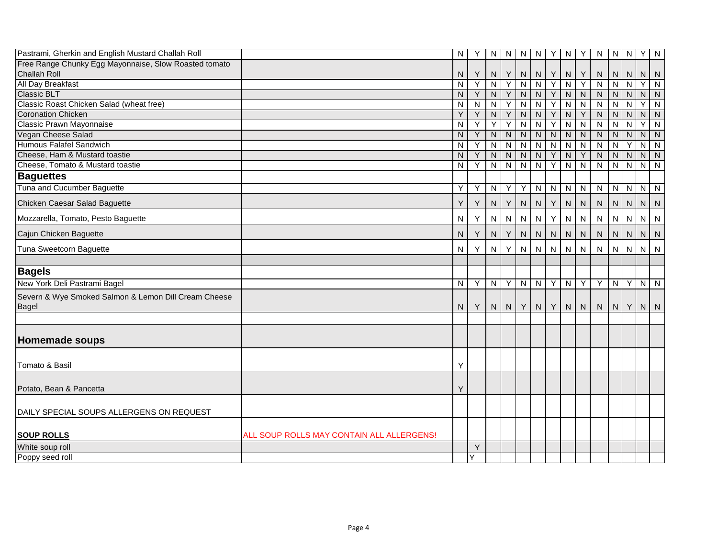| Pastrami, Gherkin and English Mustard Challah Roll                   |                                           | N         | Y | N              | $\overline{N}$          | $\mathsf{N}$   | $\overline{N}$ | Y                       | $\mathbf{z}$            | Y                       | ${\sf N}$      | $N \mid N$              |                         | Y.             | $\overline{N}$ |
|----------------------------------------------------------------------|-------------------------------------------|-----------|---|----------------|-------------------------|----------------|----------------|-------------------------|-------------------------|-------------------------|----------------|-------------------------|-------------------------|----------------|----------------|
| Free Range Chunky Egg Mayonnaise, Slow Roasted tomato                |                                           |           |   |                |                         |                |                |                         |                         |                         |                |                         |                         |                |                |
| <b>Challah Roll</b>                                                  |                                           | N         | Y | N              | Y                       | ${\sf N}$      | N              | Y                       | N                       | Y                       | N              | N                       | ${\sf N}$               | N N            |                |
| <b>All Day Breakfast</b>                                             |                                           | ${\sf N}$ | Y | $\overline{N}$ | $\overline{Y}$          | $\overline{N}$ | $\overline{N}$ | Y                       | $\overline{N}$          | $\overline{Y}$          | $\overline{N}$ | $\overline{\mathsf{N}}$ | $\overline{\mathsf{N}}$ | $\overline{Y}$ | $\overline{N}$ |
| <b>Classic BLT</b>                                                   |                                           | N         | Y | N.             | Υ                       | $\mathsf{N}$   | $\mathsf{N}$   | Y                       | $\overline{\mathsf{N}}$ | $\overline{N}$          | ${\sf N}$      | N                       | $\overline{N}$          | N              | $\overline{N}$ |
| Classic Roast Chicken Salad (wheat free)                             |                                           | Ν         | N | N              | Y                       | N              | N              | Y                       | N                       | ${\sf N}$               | ${\sf N}$      | $\mathsf{N}$            | N                       | Y.             | N              |
| <b>Coronation Chicken</b>                                            |                                           | Y         | Υ | ${\sf N}$      | Y                       | ${\sf N}$      | $\mathsf{N}$   | Y                       | $\mathsf{N}$            | Y                       | N              | ${\sf N}$               | N                       | N              | N              |
| Classic Prawn Mayonnaise                                             |                                           | N         | Y | Υ              | Y                       | N              | N              | Y                       | $\overline{\mathsf{N}}$ | $\overline{N}$          | N              | $\mathsf{N}$            | N                       | Y.             | N              |
| Vegan Cheese Salad                                                   |                                           | N         | Y | $\overline{N}$ | $\overline{N}$          | $\overline{N}$ | $\overline{N}$ | $\overline{N}$          | $\overline{N}$          | $\overline{N}$          | $\overline{N}$ | $\overline{N}$          | $\overline{N}$          | N N            |                |
| <b>Humous Falafel Sandwich</b>                                       |                                           | N         | Y | N              | $\overline{\mathsf{N}}$ | N              | N              | $\overline{\mathsf{N}}$ | $\overline{\mathsf{N}}$ | $\overline{\mathsf{N}}$ | N              | N                       | Y                       | N              | $\overline{N}$ |
| Cheese, Ham & Mustard toastie                                        |                                           | Ν         | Y | N              | N                       | N              | N              | Y                       | $\mathsf{N}$            | Y                       | ${\sf N}$      | $\mathsf{N}$            | ${\sf N}$               | N              | N              |
| Cheese, Tomato & Mustard toastie                                     |                                           | N         | Y | $\mathsf{N}$   | $\overline{N}$          | N              | $\overline{N}$ | Y                       | $\overline{\mathsf{N}}$ | $\overline{N}$          | $\overline{N}$ | $\overline{\mathsf{N}}$ | $\overline{\mathsf{N}}$ | $\overline{N}$ | $\overline{N}$ |
| <b>Baguettes</b>                                                     |                                           |           |   |                |                         |                |                |                         |                         |                         |                |                         |                         |                |                |
| Tuna and Cucumber Baguette                                           |                                           | Y         | Y | N              | $\overline{Y}$          | Y              | $\overline{N}$ | $\mathsf{N}$            | $\mathbf{z}$            | ${\sf N}$               | ${\sf N}$      | $N$ $N$                 |                         | $N$ $N$        |                |
| Chicken Caesar Salad Baguette                                        |                                           | Υ         | Y | ${\sf N}$      | Y                       | ${\sf N}$      | ${\sf N}$      | Y                       | $\mathsf{N}$            | ${\sf N}$               | ${\sf N}$      | ${\sf N}$               | ${\sf N}$               | $N$   $N$      |                |
| Mozzarella, Tomato, Pesto Baguette                                   |                                           | N         | Y | $\mathsf{N}$   | ${\sf N}$               | $\mathsf{N}$   | N              | Υ                       | ${\sf N}$               | ${\sf N}$               | N              | $N$ $N$                 |                         | $N$   $N$      |                |
| Cajun Chicken Baguette                                               |                                           | N         | Y | N              | Y                       | $\mathsf{N}$   | N              | ${\sf N}$               | $\mathsf{N}$            | ${\sf N}$               | ${\sf N}$      | ${\sf N}$               | ${\sf N}$               | N              | N              |
| Tuna Sweetcorn Baguette                                              |                                           | N         | Y | N              | Y                       | N              | N              | N                       | N                       | N                       | N              | N                       | N                       | N              | N <sub>1</sub> |
| <b>Bagels</b>                                                        |                                           |           |   |                |                         |                |                |                         |                         |                         |                |                         |                         |                |                |
| New York Deli Pastrami Bagel                                         |                                           | N         | Y | N              | Y                       | N              | $\overline{N}$ | Y                       | $\mathbf{z}$            | $\overline{Y}$          | $\overline{Y}$ | $N$ $Y$                 |                         | N N            |                |
| Severn & Wye Smoked Salmon & Lemon Dill Cream Cheese<br><b>Bagel</b> |                                           | N         | Y |                | $N$   $N$               | Y              | N              | Y                       | N                       | N                       | ${\sf N}$      |                         | $N$ $Y$                 | $N$   N        |                |
|                                                                      |                                           |           |   |                |                         |                |                |                         |                         |                         |                |                         |                         |                |                |
| <b>Homemade soups</b>                                                |                                           |           |   |                |                         |                |                |                         |                         |                         |                |                         |                         |                |                |
| Tomato & Basil                                                       |                                           | Υ         |   |                |                         |                |                |                         |                         |                         |                |                         |                         |                |                |
| Potato, Bean & Pancetta                                              |                                           | Υ         |   |                |                         |                |                |                         |                         |                         |                |                         |                         |                |                |
| DAILY SPECIAL SOUPS ALLERGENS ON REQUEST                             |                                           |           |   |                |                         |                |                |                         |                         |                         |                |                         |                         |                |                |
| <b>SOUP ROLLS</b>                                                    | ALL SOUP ROLLS MAY CONTAIN ALL ALLERGENS! |           |   |                |                         |                |                |                         |                         |                         |                |                         |                         |                |                |
| White soup roll                                                      |                                           |           | Y |                |                         |                |                |                         |                         |                         |                |                         |                         |                |                |
| Poppy seed roll                                                      |                                           |           | Y |                |                         |                |                |                         |                         |                         |                |                         |                         |                |                |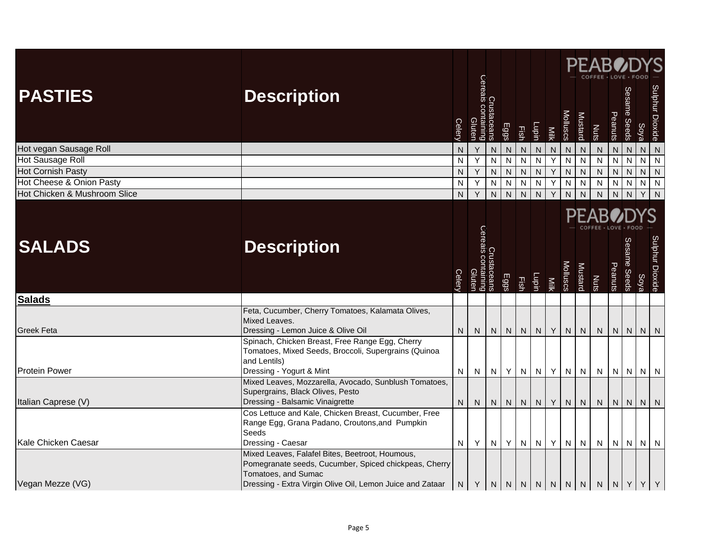| <b>PASTIES</b>                                           | <b>Description</b>                                                                                                                                  |         | Crustaceans<br> <br> Cereals containing<br> Cluten |                             |                     |                             |                              |                                  | Molluscs                    |                                  | <b>PEABOL</b>                                 |                             | Sesame Seeds                   |                | Sulphur Dioxide |
|----------------------------------------------------------|-----------------------------------------------------------------------------------------------------------------------------------------------------|---------|----------------------------------------------------|-----------------------------|---------------------|-----------------------------|------------------------------|----------------------------------|-----------------------------|----------------------------------|-----------------------------------------------|-----------------------------|--------------------------------|----------------|-----------------|
|                                                          |                                                                                                                                                     | Celery  |                                                    |                             | Eggs                | Fish                        | Lupin                        | Milk                             |                             | Mustard                          | Nuts                                          | Peanuts                     |                                | Soya           |                 |
| Hot vegan Sausage Roll                                   |                                                                                                                                                     | N       | Υ                                                  | N                           | ${\sf N}$           | ${\sf N}$                   | ${\sf N}$                    | $\overline{\mathsf{N}}$          | ${\sf N}$                   | ${\sf N}$                        | ${\sf N}$                                     | ${\sf N}$                   | ${\sf N}$                      | $N$ $N$        |                 |
| Hot Sausage Roll                                         |                                                                                                                                                     | N       | $\overline{Y}$                                     | N                           | N                   | ${\sf N}$                   | $\overline{N}$               | $\overline{Y}$                   | $\overline{\mathsf{N}}$     | $\overline{N}$                   | $\overline{\mathbf{N}}$                       | ${\sf N}$                   | N                              | $N$ $N$        |                 |
| <b>Hot Cornish Pasty</b>                                 |                                                                                                                                                     | N       | Y                                                  | ${\sf N}$                   | ${\sf N}$           | ${\sf N}$                   | ${\sf N}$                    | $\sf Y$                          | ${\sf N}$                   | $\overline{N}$                   | ${\sf N}$                                     | ${\sf N}$                   | $\mathsf{N}$                   | $N$ $N$        |                 |
| Hot Cheese & Onion Pasty<br>Hot Chicken & Mushroom Slice |                                                                                                                                                     | N<br>N. | Υ<br>$\overline{Y}$                                | ${\sf N}$<br>$\overline{N}$ | N<br>$\overline{N}$ | ${\sf N}$<br>$\overline{N}$ | $\mathsf{N}$<br>$\mathbf{Z}$ | $\overline{Y}$<br>$\overline{Y}$ | ${\sf N}$<br>$\overline{N}$ | $\overline{N}$<br>$\overline{N}$ | $\overline{N}$<br>$\overline{N}$              | ${\sf N}$<br>$\overline{N}$ | $\overline{N}$<br>$\mathsf{N}$ | $N$ $N$<br>Y N |                 |
|                                                          |                                                                                                                                                     |         |                                                    |                             |                     |                             |                              |                                  |                             |                                  |                                               |                             |                                |                |                 |
| <b>SALADS</b>                                            | <b>Description</b>                                                                                                                                  |         | Crustaceans<br>Cereais containing<br>Gluten        |                             |                     |                             |                              |                                  |                             |                                  | PEAB                                          |                             |                                |                |                 |
|                                                          |                                                                                                                                                     | Celery  |                                                    |                             | Eggs                | Fish                        | Lupin                        | Nilk                             | Molluscs                    | Mustard                          | Nuts                                          | Peanuts                     | Sesame Seeds                   | Soya           | Sulphur Dioxide |
| <b>Salads</b>                                            |                                                                                                                                                     |         |                                                    |                             |                     |                             |                              |                                  |                             |                                  |                                               |                             |                                |                |                 |
| <b>Greek Feta</b>                                        | Feta, Cucumber, Cherry Tomatoes, Kalamata Olives,<br>Mixed Leaves.<br>Dressing - Lemon Juice & Olive Oil                                            | N.      | N                                                  | N                           | N                   | N                           | N                            | Y                                |                             | $N$ $N$                          | N                                             | N                           | N                              | $N$   $N$      |                 |
| <b>Protein Power</b>                                     | Spinach, Chicken Breast, Free Range Egg, Cherry<br>Tomatoes, Mixed Seeds, Broccoli, Supergrains (Quinoa<br>and Lentils)<br>Dressing - Yogurt & Mint |         |                                                    | N                           | Y                   |                             |                              | Y                                |                             |                                  |                                               |                             | NNNN                           |                |                 |
|                                                          | Mixed Leaves, Mozzarella, Avocado, Sunblush Tomatoes,                                                                                               | N       | N.                                                 |                             |                     |                             | $N$ $N$                      |                                  |                             |                                  | $N$ $N$ $N$                                   |                             |                                |                |                 |
| Italian Caprese (V)                                      | Supergrains, Black Olives, Pesto<br>Dressing - Balsamic Vinaigrette                                                                                 | N.      | N                                                  | N                           | N                   | ${\sf N}$                   | N                            | Y                                | N                           | N                                | ${\sf N}$                                     | ${\sf N}$                   | ${\sf N}$                      | $N$ $N$        |                 |
| Kale Chicken Caesar                                      | Cos Lettuce and Kale, Chicken Breast, Cucumber, Free<br>Range Egg, Grana Padano, Croutons, and Pumpkin<br>Seeds<br>Dressing - Caesar                | N.      | Y                                                  | N                           | Y.                  | N                           | N                            | Y                                | N                           | N                                | N                                             | N                           | N                              | $N$   $N$      |                 |
|                                                          | Mixed Leaves, Falafel Bites, Beetroot, Houmous,<br>Pomegranate seeds, Cucumber, Spiced chickpeas, Cherry<br>Tomatoes, and Sumac                     |         |                                                    |                             |                     |                             |                              |                                  |                             |                                  |                                               |                             |                                |                |                 |
| Vegan Mezze (VG)                                         | Dressing - Extra Virgin Olive Oil, Lemon Juice and Zataar                                                                                           | N.      | Y                                                  |                             |                     |                             |                              |                                  |                             |                                  | $N \mid N \mid N \mid N \mid N \mid N \mid N$ | NY                          |                                | YY             |                 |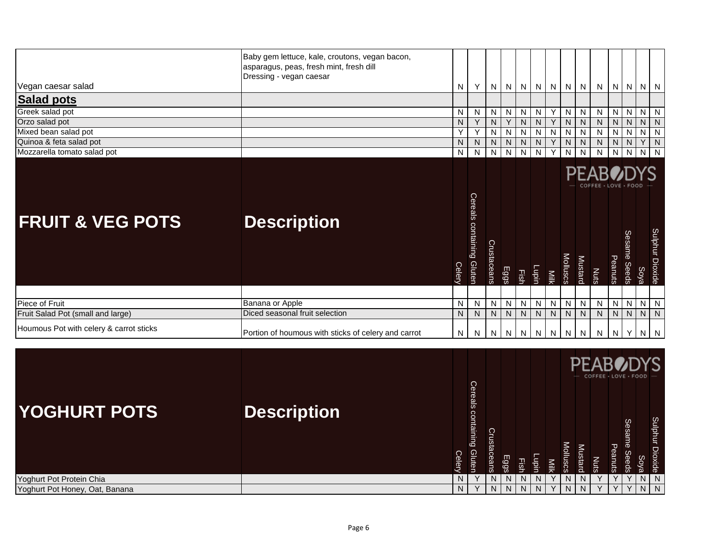| Vegan caesar salad<br><b>Salad pots</b>                                      | Baby gem lettuce, kale, croutons, vegan bacon,<br>asparagus, peas, fresh mint, fresh dill<br>Dressing - vegan caesar | N                            | Y                            | N                   | N                              | N                           | N                   |                | $N$ $N$              | N       | N                           |                     | $N$ $N$ $N$ $N$         |                     |                             |
|------------------------------------------------------------------------------|----------------------------------------------------------------------------------------------------------------------|------------------------------|------------------------------|---------------------|--------------------------------|-----------------------------|---------------------|----------------|----------------------|---------|-----------------------------|---------------------|-------------------------|---------------------|-----------------------------|
| Greek salad pot                                                              |                                                                                                                      | N                            | N                            | N                   | N                              | $\mathsf{N}$                | N                   | Y              | N                    | N       | ${\sf N}$                   |                     | $N$ $N$                 | $\overline{N}$      | $\overline{N}$              |
| Orzo salad pot                                                               |                                                                                                                      | N                            | Y                            | N                   | Y                              | N                           | N                   | Y              | N.                   | N       | N                           | N                   | N                       | N                   | ${\sf N}$                   |
| Mixed bean salad pot                                                         |                                                                                                                      | Υ                            | Y                            | N                   | N                              | ${\sf N}$                   | $\mathsf{N}$        | N              | N                    | N       | ${\sf N}$                   | $\overline{N}$      | $\overline{N}$          | $\overline{N}$      | $\overline{N}$              |
| Quinoa & feta salad pot<br>Mozzarella tomato salad pot                       |                                                                                                                      | N<br>$\overline{\mathsf{N}}$ | N<br>$\overline{\mathsf{N}}$ | N<br>$\overline{N}$ | $\mathsf{N}$<br>$\overline{N}$ | ${\sf N}$<br>$\overline{N}$ | N<br>$\overline{N}$ | Y<br>Y         | N<br>$\overline{N}$  | N<br>N  | ${\sf N}$<br>$\overline{N}$ | N<br>$\overline{N}$ | ${\sf N}$<br>$\sqrt{N}$ | Y<br>$\overline{z}$ | ${\sf N}$<br>$\overline{N}$ |
|                                                                              |                                                                                                                      |                              |                              |                     |                                |                             |                     |                |                      |         |                             |                     |                         |                     |                             |
|                                                                              |                                                                                                                      |                              |                              |                     |                                |                             |                     |                |                      |         | COFFEE · LOVE · FOOD        |                     |                         |                     |                             |
|                                                                              | <b>Description</b>                                                                                                   | Celery                       | Cereals containing Gluten    | Crustaceans         | Eggs                           | 国                           | Lupin               | <b>Nilk</b>    | <b>Molluscs</b>      | Mustard | <b>Nuts</b>                 | Peanuts             | Sesame<br><b>Seeds</b>  | Soya                | Sulphur Dioxide             |
| <b>FRUIT &amp; VEG POTS</b>                                                  |                                                                                                                      |                              |                              |                     |                                |                             |                     |                |                      |         |                             |                     |                         |                     |                             |
| Piece of Fruit                                                               | Banana or Apple                                                                                                      | N                            | ${\sf N}$                    | N                   | N                              | N                           | N                   | $\overline{N}$ | N                    | N       | ${\sf N}$                   |                     | $N$ $N$                 | $\overline{N}$      | N                           |
| Fruit Salad Pot (small and large)<br>Houmous Pot with celery & carrot sticks | Diced seasonal fruit selection<br>Portion of houmous with sticks of celery and carrot                                | N<br>N                       | N<br>N                       | N                   | N<br>N N                       | N                           | N                   | N              | N<br>$N$ $N$ $N$ $N$ | N<br>N  | N<br>N                      |                     | $N$   $N$  <br>$N$ $Y$  | N<br>$N \mid N$     | N                           |

|                                |                    |        |                                     |             |      |             |       |      |          |         | <b>PFABODYS</b><br>COFFEE · LOVE · FOOD |         |                 |                     |                    |
|--------------------------------|--------------------|--------|-------------------------------------|-------------|------|-------------|-------|------|----------|---------|-----------------------------------------|---------|-----------------|---------------------|--------------------|
| <b>YOGHURT POTS</b>            | <b>Description</b> | Celery | Cereals containing<br><b>Gluten</b> | Crustaceans | Eggs | <b>Fish</b> | lagiu | Nilk | Molluscs | Mustard | SIN                                     | Peanuts | Sesame<br>Seeds | So)<br>$\mathbf{u}$ | Sulphur<br>Dioxide |
| Yoghurt Pot Protein Chia       |                    |        |                                     |             |      | N           | N     |      | N        |         |                                         | v       | v               | N                   | N                  |
| Yoghurt Pot Honey, Oat, Banana |                    | N.     |                                     | N I         | N.   | N           | N.    | v    | N        | N.      |                                         | Y       | Y               | $N$   $N$           |                    |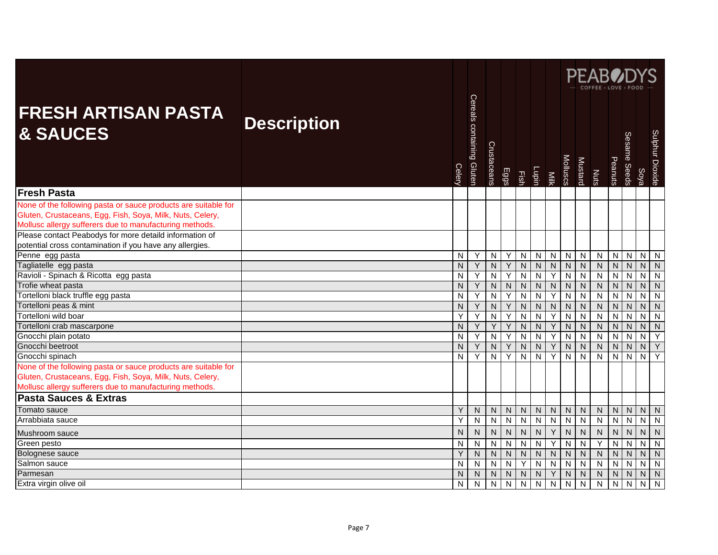|                                                                                                                                                                                                                                                                                                               |                    |        |                           |                |                |                         |                |                |                         |                | <b>PFAB</b>    |                |                |                |                 |
|---------------------------------------------------------------------------------------------------------------------------------------------------------------------------------------------------------------------------------------------------------------------------------------------------------------|--------------------|--------|---------------------------|----------------|----------------|-------------------------|----------------|----------------|-------------------------|----------------|----------------|----------------|----------------|----------------|-----------------|
| <b>FRESH ARTISAN PASTA</b><br><b>&amp; SAUCES</b>                                                                                                                                                                                                                                                             | <b>Description</b> | Celery | Cereals containing Gluten | Crustaceans    | Eggs           | Fish                    | Lupin          | Milk           | Molluscs                | <b>Mustard</b> | Nuts           | Peanuts        | Sesame Seeds   | Soya           | Sulphur Dioxide |
| <b>Fresh Pasta</b>                                                                                                                                                                                                                                                                                            |                    |        |                           |                |                |                         |                |                |                         |                |                |                |                |                |                 |
| None of the following pasta or sauce products are suitable for<br>Gluten, Crustaceans, Egg, Fish, Soya, Milk, Nuts, Celery,<br>Mollusc allergy sufferers due to manufacturing methods.<br>Please contact Peabodys for more detaild information of<br>potential cross contamination if you have any allergies. |                    |        |                           |                |                |                         |                |                |                         |                |                |                |                |                |                 |
| Penne egg pasta                                                                                                                                                                                                                                                                                               |                    | N      | Y                         | N              | Υ              | ${\sf N}$               | N              | ${\sf N}$      | N                       | ${\sf N}$      | N              | N              | N              | $N$   $N$      |                 |
| Tagliatelle egg pasta                                                                                                                                                                                                                                                                                         |                    | N      | Y                         | ${\sf N}$      | $\overline{Y}$ | ${\sf N}$               | N              | $\mathsf{N}$   | $\overline{N}$          | $\overline{N}$ | N              | $\overline{N}$ | N              | N              | N               |
| Ravioli - Spinach & Ricotta egg pasta                                                                                                                                                                                                                                                                         |                    | N      | Y                         | ${\sf N}$      | Y              | ${\sf N}$               | N              | Y              | $\overline{\mathsf{N}}$ | ${\sf N}$      | N              | $\overline{N}$ | N              | $\overline{N}$ | N               |
| Trofie wheat pasta                                                                                                                                                                                                                                                                                            |                    | N      | Y                         | N              | ${\sf N}$      | ${\sf N}$               | N              | ${\sf N}$      | $\mathsf{N}$            | ${\sf N}$      | N              | N              | N              | N              | N               |
| Tortelloni black truffle egg pasta                                                                                                                                                                                                                                                                            |                    | N      | Υ                         | $\overline{N}$ | Y              | ${\sf N}$               | $\overline{N}$ | Y              | $\mathsf{N}$            | $\overline{N}$ | $\overline{N}$ | ${\sf N}$      | N              | $\overline{N}$ | N               |
| Tortelloni peas & mint                                                                                                                                                                                                                                                                                        |                    | N      | Y                         | N              | Y              | ${\sf N}$               | ${\sf N}$      | $\mathsf{N}$   | N                       | ${\sf N}$      | N              | ${\sf N}$      | N              | $\mathsf{N}$   | $\mathsf{N}$    |
| Tortelloni wild boar                                                                                                                                                                                                                                                                                          |                    | Y      | Υ                         | $\overline{N}$ | Y              | ${\sf N}$               | $\overline{N}$ | Y              | $\overline{N}$          | $\overline{N}$ | $\overline{N}$ | $\overline{N}$ | N              | $\overline{N}$ | N               |
| Tortelloni crab mascarpone                                                                                                                                                                                                                                                                                    |                    | N      | Y                         | Y              | Y              | ${\sf N}$               | N              | Y              | N                       | ${\sf N}$      | N              | ${\sf N}$      | N              | $\mathsf{N}$   | $\mathsf{N}$    |
| Gnocchi plain potato                                                                                                                                                                                                                                                                                          |                    | N      | Y                         | $\mathsf{N}$   | Y              | $\mathsf{N}$            | N              | Y              | N                       | $\overline{N}$ | $\overline{N}$ | $\overline{N}$ | N              | $\overline{N}$ | Y               |
| Gnocchi beetroot                                                                                                                                                                                                                                                                                              |                    | N      | Y                         | N              | Υ              | ${\sf N}$               | N              | Y              | N                       | ${\sf N}$      | N              | ${\sf N}$      | N              | $\mathsf{N}$   | Y               |
| Gnocchi spinach                                                                                                                                                                                                                                                                                               |                    | N      | Y                         | $\overline{N}$ | Y              | ${\sf N}$               | N              | Y              | $\overline{\mathsf{N}}$ | $\overline{N}$ | $\overline{N}$ | $\overline{N}$ | $\overline{N}$ | $\overline{N}$ | Y               |
| None of the following pasta or sauce products are suitable for<br>Gluten, Crustaceans, Egg, Fish, Soya, Milk, Nuts, Celery,<br>Mollusc allergy sufferers due to manufacturing methods.                                                                                                                        |                    |        |                           |                |                |                         |                |                |                         |                |                |                |                |                |                 |
| <b>Pasta Sauces &amp; Extras</b>                                                                                                                                                                                                                                                                              |                    |        |                           |                |                |                         |                |                |                         |                |                |                |                |                |                 |
| Tomato sauce                                                                                                                                                                                                                                                                                                  |                    | Υ      | N                         | N              | ${\sf N}$      | ${\sf N}$               | N              | ${\sf N}$      | $\mathsf{N}$            | ${\sf N}$      | ${\sf N}$      | N              | N              | N              | N               |
| Arrabbiata sauce                                                                                                                                                                                                                                                                                              |                    | Y      | $\mathsf{N}$              | $\mathbf{z}$   | $\mathsf{N}$   | $\mathsf{N}$            | $\overline{N}$ | $\overline{N}$ | $\overline{\mathsf{N}}$ | $\overline{N}$ | $\mathsf{N}$   | $\overline{N}$ | $\mathsf{N}$   | $\overline{N}$ | N               |
| Mushroom sauce                                                                                                                                                                                                                                                                                                |                    | N      | N                         | N              | $\mathsf{N}$   | ${\sf N}$               | N              | Y              | N                       | ${\sf N}$      | $\mathsf{N}$   | $\mathsf{N}$   | N              | N              | $\mathsf{N}$    |
| Green pesto                                                                                                                                                                                                                                                                                                   |                    | N      | $\mathsf{N}$              | ${\sf N}$      | ${\sf N}$      | ${\sf N}$               | N              | Y              | $\mathsf{N}$            | $\overline{N}$ | Y              | $\overline{N}$ | N              | $\overline{N}$ | N               |
| Bolognese sauce                                                                                                                                                                                                                                                                                               |                    | Υ      | $\mathsf{N}$              | $\overline{N}$ | $\overline{N}$ | $\overline{\mathsf{N}}$ | $\overline{N}$ | $\overline{N}$ | $\overline{N}$          | $\overline{N}$ | $\overline{N}$ | $\overline{N}$ | $\overline{N}$ | $\overline{N}$ | $\overline{N}$  |
| Salmon sauce                                                                                                                                                                                                                                                                                                  |                    | N      | N                         | N              | ${\sf N}$      | Y                       | N              | N              | $\overline{\mathsf{N}}$ | $\mathsf{N}$   | ${\sf N}$      | $\overline{N}$ | N              | $\overline{N}$ | N               |
| Parmesan                                                                                                                                                                                                                                                                                                      |                    | N      | N                         | ${\sf N}$      | ${\sf N}$      | N                       | ${\sf N}$      | Y              | N                       | ${\sf N}$      | ${\sf N}$      | $\overline{N}$ | N              | $\mathsf{N}$   | N               |
| Extra virgin olive oil                                                                                                                                                                                                                                                                                        |                    | N      | $\mathsf{N}$              | $\mathsf{N}$   | $\mathsf{N}$   | N                       | N              | N              | $\overline{\mathsf{N}}$ | $\overline{N}$ | N              | $\overline{N}$ | N              | N              | N               |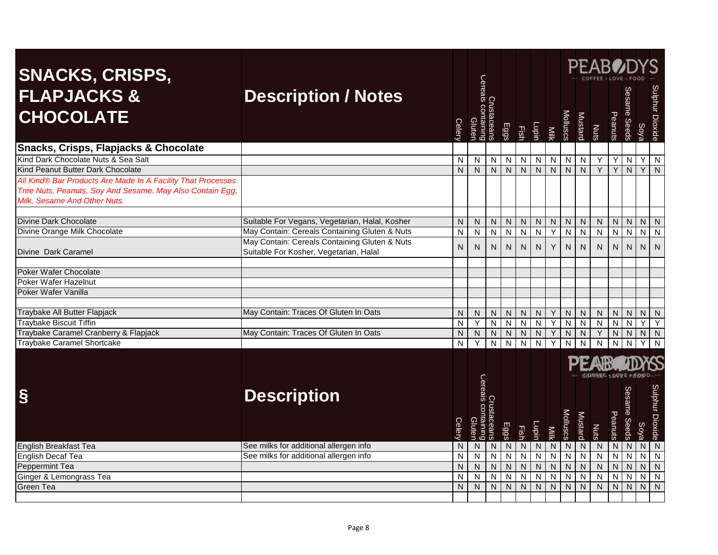|                                                                      |                                                |                         |                          |                         |                         |                |                |                |                |                         | $\mathsf{PFAB}{}{0}$    |                |                         |                |                 |
|----------------------------------------------------------------------|------------------------------------------------|-------------------------|--------------------------|-------------------------|-------------------------|----------------|----------------|----------------|----------------|-------------------------|-------------------------|----------------|-------------------------|----------------|-----------------|
| <b>SNACKS, CRISPS,</b><br><b>FLAPJACKS &amp;</b><br><b>CHOCOLATE</b> | <b>Description / Notes</b>                     | Celery                  | Cereals<br><b>Gluten</b> |                         | Eggs                    | Fish           | Lupin          | Milk           | Molluscs       | Mustard                 | <b>Nuts</b>             | Peanuts        | Sesame Seeds            | Soya           | Sulphur Dioxide |
| Snacks, Crisps, Flapjacks & Chocolate                                |                                                |                         |                          |                         |                         |                |                |                |                |                         |                         |                |                         |                |                 |
| Kind Dark Chocolate Nuts & Sea Salt                                  |                                                | N                       | N                        | N                       | $\mathsf{N}$            | $\mathsf{N}$   | N              | N              | N              | N                       | Υ                       | Υ              | $\mathsf{N}$            | Y.             | N               |
| Kind Peanut Butter Dark Chocolate                                    |                                                | N                       | $\overline{N}$           | $\overline{N}$          | $\overline{N}$          | $\mathsf{N}$   | $\overline{N}$ | N              | N              | $\overline{N}$          | Y                       | Y              | $\mathsf{N}$            | Y              | $\mathsf{N}$    |
| All Kind® Bar Products Are Made In A Facility That Processes         |                                                |                         |                          |                         |                         |                |                |                |                |                         |                         |                |                         |                |                 |
| Tree Nuts, Peanuts, Soy And Sesame. May Also Contain Egg,            |                                                |                         |                          |                         |                         |                |                |                |                |                         |                         |                |                         |                |                 |
| Milk, Sesame And Other Nuts.                                         |                                                |                         |                          |                         |                         |                |                |                |                |                         |                         |                |                         |                |                 |
|                                                                      |                                                |                         |                          |                         |                         |                |                |                |                |                         |                         |                |                         |                |                 |
| Divine Dark Chocolate                                                | Suitable For Vegans, Vegetarian, Halal, Kosher | N                       | N                        | N                       | N                       | N              | N              | N              | N              | N                       | N                       | N              | N                       | N.             | N               |
| Divine Orange Milk Chocolate                                         | May Contain: Cereals Containing Gluten & Nuts  | $\overline{\mathsf{N}}$ | $\overline{N}$           | $\overline{\mathsf{N}}$ | $\overline{\mathsf{N}}$ | $\overline{N}$ | $\overline{N}$ | Y              | N              | $\overline{N}$          | $\overline{N}$          | $\overline{N}$ | $\overline{\mathsf{N}}$ | $\overline{N}$ | N               |
|                                                                      | May Contain: Cereals Containing Gluten & Nuts  | $\mathsf{N}$            | N                        | N                       | ${\sf N}$               | N              | N              | Υ              | N              | $\mathsf{N}$            | N                       | N              | $\mathsf{N}$            | N              | $\mathsf{N}$    |
| Divine Dark Caramel                                                  | Suitable For Kosher, Vegetarian, Halal         |                         |                          |                         |                         |                |                |                |                |                         |                         |                |                         |                |                 |
| Poker Wafer Chocolate                                                |                                                |                         |                          |                         |                         |                |                |                |                |                         |                         |                |                         |                |                 |
| Poker Wafer Hazelnut                                                 |                                                |                         |                          |                         |                         |                |                |                |                |                         |                         |                |                         |                |                 |
| Poker Wafer Vanilla                                                  |                                                |                         |                          |                         |                         |                |                |                |                |                         |                         |                |                         |                |                 |
|                                                                      |                                                |                         |                          |                         |                         |                |                |                |                |                         |                         |                |                         |                |                 |
| Traybake All Butter Flapjack                                         | May Contain: Traces Of Gluten In Oats          | N <sub>1</sub>          | N                        | N.                      | $\mathsf{N}$            | ${\sf N}$      | N.             | Y              | N              | ${\sf N}$               | ${\sf N}$               | N              | N                       | N              | N               |
| <b>Traybake Biscuit Tiffin</b>                                       |                                                | N                       | Y                        | $\overline{\mathsf{N}}$ | $\overline{N}$          | $\mathsf{N}$   | $\overline{N}$ | Y              | $\mathsf{N}$   | $\overline{N}$          | $\overline{N}$          | $\overline{N}$ | N                       | Y              | Υ               |
| Traybake Caramel Cranberry & Flapjack                                | May Contain: Traces Of Gluten In Oats          | N                       | ${\sf N}$                | ${\sf N}$               | ${\sf N}$               | ${\sf N}$      | N              | Υ              | N              | $\mathsf{N}$            | Υ                       | ${\sf N}$      | N                       | N              | N               |
| <b>Traybake Caramel Shortcake</b>                                    |                                                | $\mathsf{N}$            | Y                        | $\overline{N}$          | $\overline{N}$          | N              | $\overline{N}$ | Y              | N              | $\overline{\mathsf{N}}$ | N                       | $\mathsf{N}$   | N                       | Y              | N               |
|                                                                      |                                                |                         |                          |                         |                         |                |                |                |                |                         |                         |                |                         |                |                 |
|                                                                      |                                                |                         |                          |                         |                         |                |                |                |                |                         | <b>HHEEL HOVE FROOD</b> |                |                         |                |                 |
|                                                                      |                                                |                         | Cereals                  |                         |                         |                |                |                |                |                         |                         |                |                         |                |                 |
| Š                                                                    | <b>Description</b>                             |                         |                          |                         |                         |                |                |                |                |                         |                         |                |                         |                |                 |
|                                                                      |                                                |                         |                          |                         |                         |                |                |                |                |                         |                         |                |                         |                |                 |
|                                                                      |                                                |                         |                          |                         |                         |                |                |                |                |                         |                         |                |                         |                |                 |
|                                                                      |                                                |                         |                          |                         |                         |                |                |                | Molluscs       |                         |                         |                |                         |                |                 |
|                                                                      |                                                | Celery                  | luten<br><b>Duiul</b>    |                         | Eggs                    | Fish           | Lupin          | Milk           |                | Mustard                 | Nuts                    | Peanuts        | Sesame Seeds            | Soya           | Sulphur Dioxide |
| <b>English Breakfast Tea</b>                                         | See milks for additional allergen info         | $\mathsf{N}$            | ${\sf N}$                | N                       | $\overline{\mathsf{N}}$ | $\overline{N}$ | $\overline{N}$ | $\overline{N}$ | $\overline{N}$ | $\overline{N}$          | $\overline{N}$          | $\overline{N}$ | $\overline{N}$          | $\overline{N}$ | $\overline{N}$  |
| <b>English Decaf Tea</b>                                             | See milks for additional allergen info         | N                       | ${\sf N}$                | N                       | N                       | $\mathsf{N}$   | $\overline{N}$ | N              | N              | $\overline{N}$          | $\overline{N}$          | $\overline{N}$ | N                       | N              | N               |
| Peppermint Tea                                                       |                                                | N                       | ${\sf N}$                | N                       | ${\sf N}$               | ${\sf N}$      | ${\sf N}$      | $\mathsf{N}$   | N              | ${\sf N}$               | ${\sf N}$               | ${\sf N}$      | $\mathsf{N}$            | ${\sf N}$      | N               |
| Ginger & Lemongrass Tea                                              |                                                | N                       | $\overline{N}$           | N                       | ${\sf N}$               | N              | $\overline{N}$ | ${\sf N}$      | $\mathsf{N}$   | $\overline{N}$          | $\overline{N}$          | $\overline{N}$ | N                       | $\overline{N}$ | $\mathsf{N}$    |
| Green Tea                                                            |                                                | $\overline{\mathsf{N}}$ | $\overline{N}$           | $\overline{N}$          | $\overline{N}$          | $\mathsf{N}$   | N              | ${\sf N}$      | $\mathsf{N}$   | $\overline{N}$          | $\overline{N}$          | $\overline{N}$ | N                       | $\mathsf{N}$   | $\overline{N}$  |
|                                                                      |                                                |                         |                          |                         |                         |                |                |                |                |                         |                         |                |                         |                |                 |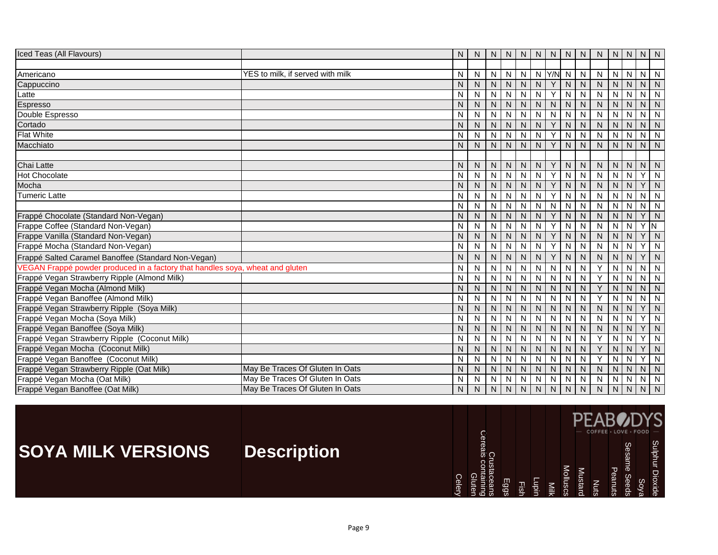| Iced Teas (All Flavours)                                                      |                                  | N  | N            |   | N N          | N            | N              | N            | N                       | N                       | N         | $N$   $N$      |              | N N          |                         |
|-------------------------------------------------------------------------------|----------------------------------|----|--------------|---|--------------|--------------|----------------|--------------|-------------------------|-------------------------|-----------|----------------|--------------|--------------|-------------------------|
|                                                                               |                                  |    |              |   |              |              |                |              |                         |                         |           |                |              |              |                         |
| Americano                                                                     | YES to milk, if served with milk | N. | N            | N | N            | N            |                | $N$ $Y/N$ N  |                         | $\mathsf{N}$            | N         | $N$ $N$        |              | $N$ $N$      |                         |
| Cappuccino                                                                    |                                  | N  | N            | N | $\mathsf{N}$ | <sub>N</sub> | N              | Y            | N                       | ${\sf N}$               | ${\sf N}$ | N              | N            | $N$   $N$    |                         |
| Latte                                                                         |                                  | N  | N            | N | N            | N            | N              | Υ            | N                       | N                       | N         | N              | N            | N            | N                       |
| Espresso                                                                      |                                  | N  | N            | N | N            | N            | N              | N            | N                       | N                       | N         | N              | N            | N            | N                       |
| Double Espresso                                                               |                                  | N  | N            | N | N            | N            | N.             | N            | $\overline{\mathsf{N}}$ | ${\sf N}$               | N         | N              | N            | N            | N                       |
| Cortado                                                                       |                                  | N  | N.           | N | N            | $\mathsf{N}$ | N              | Y            | $\mathsf{N}$            | $\mathsf{N}$            | N.        | $\mathsf{N}$   | N            | N            | $\blacksquare$          |
| <b>Flat White</b>                                                             |                                  | N  | N            | N | N            | N            | N              | Y            | N                       | N                       | N         | N              | N            | $N$   $N$    |                         |
| Macchiato                                                                     |                                  | N  | N            | N | N            | N            | $\mathsf{N}$   | Υ            | N                       | $\mathsf{N}$            | N         | N              | N            | $N$   $N$    |                         |
|                                                                               |                                  |    |              |   |              |              |                |              |                         |                         |           |                |              |              |                         |
| Chai Latte                                                                    |                                  | N  | N            | N | N            | N            | N <sub>1</sub> | Υ            | N                       | N                       | N         | N              | N            | N N          |                         |
| <b>Hot Chocolate</b>                                                          |                                  | N  | ${\sf N}$    | N | $\mathsf{N}$ | N            | N              | Y            | N                       | ${\sf N}$               | N         | N              | N            | $\checkmark$ | N                       |
| Mocha                                                                         |                                  | N  | N            | N | ${\sf N}$    | N            | N              | Y            | $\mathsf{N}$            | ${\sf N}$               | N         | $\mathsf{N}$   | N            | Y.           | N                       |
| Tumeric Latte                                                                 |                                  | N  | N            | N | N            | N            | N              | Y            | N                       | N                       | N         | N              | N            | N            | -N                      |
|                                                                               |                                  | N  | N            | N | N            | N            | N              | N            | N                       | N                       | N         | N              | N            | N            | $\overline{N}$          |
| Frappé Chocolate (Standard Non-Vegan)                                         |                                  | N  | N            | N | N.           | N            | N.             | Y            | N                       | N                       | N         | N              | N            | Y.           | N                       |
| Frappe Coffee (Standard Non-Vegan)                                            |                                  | N  | $\mathsf{N}$ | N | $\mathsf{N}$ | N            | N              | Y            | N                       | $\overline{N}$          | N         | $\overline{N}$ | N            | v            | $\overline{\mathsf{N}}$ |
| Frappe Vanilla (Standard Non-Vegan)                                           |                                  | N  | N.           | N | N            | N            | N              | Y            | $\mathsf{N}$            | $\mathsf{N}$            | N.        | N              | N            | v            | $\mathsf{N}$            |
| Frappé Mocha (Standard Non-Vegan)                                             |                                  | N  | ${\sf N}$    | N | N            | N            | N              | Υ            | N                       | N                       | N         | N              | N            | v.           | N                       |
| Frappé Salted Caramel Banoffee (Standard Non-Vegan)                           |                                  | N  | N            | N | N            | N            | N              | Y            | N                       | N                       | N         | N              | $\mathsf{N}$ | $\vee$       | N                       |
| VEGAN Frappé powder produced in a factory that handles soya, wheat and gluten |                                  | N  | ${\sf N}$    | N | N            | N            | N              | $\mathsf{N}$ | $\overline{N}$          | ${\sf N}$               | Y         | N              | N            | N            | N                       |
| Frappé Vegan Strawberry Ripple (Almond Milk)                                  |                                  | N  | N            | N | $\mathsf{N}$ | N            | N              | N            | N                       | $\mathsf{N}$            | Y         | $\mathsf{N}$   | N            | $N$   $N$    |                         |
| Frappé Vegan Mocha (Almond Milk)                                              |                                  | N  | $\mathsf{N}$ | N | N            | N            | N              | N            | N                       | $\mathsf{N}$            | Y         | N              | N            | N            | $\mathsf{N}$            |
| Frappé Vegan Banoffee (Almond Milk)                                           |                                  | N  | N            | N | N            | N            | N              | N            | N                       | $\mathsf{N}$            | Y         | N              | N            | N            | N                       |
| Frappé Vegan Strawberry Ripple (Soya Milk)                                    |                                  | N  | N.           | N | N.           | N            | N.             | N            | N                       | N                       | N         | N              | N            | Y.           | N                       |
| Frappé Vegan Mocha (Soya Milk)                                                |                                  | N  | ${\sf N}$    | N | N            | N            | N              | N            | N                       | $\mathsf{N}$            | N         | N              | N            | $\checkmark$ | N                       |
| Frappé Vegan Banoffee (Soya Milk)                                             |                                  | Ν  | ${\sf N}$    | N | ${\sf N}$    | $\mathsf{N}$ | ${\sf N}$      | $\mathsf{N}$ | $\mathsf{N}$            | $\overline{\mathsf{N}}$ | N         | $\mathsf{N}$   | N            | Y            | N                       |
| Frappé Vegan Strawberry Ripple (Coconut Milk)                                 |                                  | N  | N            | N | N            | N            | N              | N            | N                       | $\mathsf{N}$            | Y         | N              | N            |              | N                       |
| Frappé Vegan Mocha (Coconut Milk)                                             |                                  | N  | N            | N | N            | N            | N              | N            | N                       | N                       | Y         | N              | N            | v            | N                       |
| Frappé Vegan Banoffee (Coconut Milk)                                          |                                  | N  | N            | N | N            | N            | N              | N            | N                       | N                       | Y         | N              | N            | v.           | N                       |
| Frappé Vegan Strawberry Ripple (Oat Milk)                                     | May Be Traces Of Gluten In Oats  | Ν  | ${\sf N}$    | N | N            | $\mathsf{N}$ | $\mathsf{N}$   | N            | $\mathsf{N}$            | $\overline{\mathsf{N}}$ | N         | $\mathsf{N}$   | N            | N            | $\overline{N}$          |
| Frappé Vegan Mocha (Oat Milk)                                                 | May Be Traces Of Gluten In Oats  | N  | N            | Ν | $\mathsf{N}$ | N            | N              | N            | N                       | $\overline{\mathsf{N}}$ | N         | ${\sf N}$      | N            | N            | N                       |
| Frappé Vegan Banoffee (Oat Milk)                                              | May Be Traces Of Gluten In Oats  | N. | N            | N | N.           | N.           | N.             | N            | $\mathsf{N}$            | N                       | N.        | $\mathsf{N}$   | N            | N            | N                       |

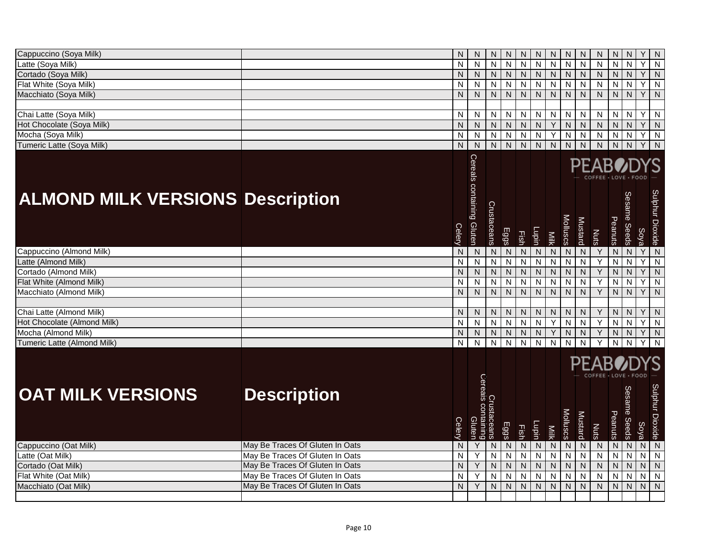| Cappuccino (Soya Milk)                                  |                                 | N                         | N                         | N              | N                       | N                         | N                                    | N            | N            | N              | N                    | N                       | N              | Y              | N                      |
|---------------------------------------------------------|---------------------------------|---------------------------|---------------------------|----------------|-------------------------|---------------------------|--------------------------------------|--------------|--------------|----------------|----------------------|-------------------------|----------------|----------------|------------------------|
| Latte (Soya Milk)                                       |                                 | N                         | N                         | N              | N                       | $\mathsf{N}$              | $\mathsf{N}$                         | N            | $\mathsf{N}$ | N              | N                    | N                       | $\mathsf{N}$   | Y              | ${\sf N}$              |
| Cortado (Soya Milk)                                     |                                 | $\mathsf{N}$              | ${\sf N}$                 | N              | $\mathsf{N}$            | $\mathsf{N}$              | $\mathsf{N}$                         | N            | ${\sf N}$    | $\mathsf{N}$   | ${\sf N}$            | N.                      | ${\sf N}$      | Υ              | ${\sf N}$              |
| Flat White (Soya Milk)                                  |                                 | N                         | N                         | $\overline{N}$ | $\mathsf{N}$            | $\mathsf{N}$              | $\mathsf{N}$                         | N            | $\mathsf{N}$ | N              | $\mathsf{N}$         | $\overline{N}$          | N              | $\overline{Y}$ | ${\sf N}$              |
| Macchiato (Soya Milk)                                   |                                 | $\mathsf{N}$              | $\mathsf{N}$              | $\overline{N}$ | N                       | $\mathsf{N}$              | $\mathsf{N}$                         | N            | N            | N              | $\mathsf{N}$         | N                       | $\mathsf{N}$   | Y              | N                      |
|                                                         |                                 |                           |                           |                |                         |                           |                                      |              |              |                |                      |                         |                |                |                        |
| Chai Latte (Soya Milk)                                  |                                 | N                         | N                         | $\mathsf{N}$   | N                       | $\mathsf{N}$              | N                                    | N            | N            | N              | N                    | N                       | N              | Y              | $\mathsf{N}$           |
| Hot Chocolate (Soya Milk)                               |                                 | $\mathsf{N}$              | ${\sf N}$                 | N.             | $\mathsf{N}$            | $\mathsf{N}$              | $\mathsf{N}$                         | Υ            | N            | ${\sf N}$      | ${\sf N}$            | $\overline{N}$          | $\mathsf{N}$   | Y              | $\overline{N}$         |
| Mocha (Soya Milk)                                       |                                 | $\overline{\mathsf{N}}$   | N                         | N              | $\overline{\mathsf{N}}$ | $\mathsf{N}$              | $\overline{N}$                       | Y            | ${\sf N}$    | $\mathsf{N}$   | $\overline{N}$       | N                       | ${\sf N}$      | Υ              | ${\sf N}$              |
| Tumeric Latte (Soya Milk)                               |                                 | $\mathsf{N}$              | $\overline{N}$            | $\overline{N}$ | $\overline{N}$          | $\overline{N}$            | $\overline{N}$                       | $\mathsf{N}$ | $\mathsf{N}$ | $\mathsf{N}$   | $\overline{N}$       | N                       | $\mathsf{N}$   | Y              | $\overline{N}$         |
|                                                         |                                 |                           |                           |                |                         |                           |                                      |              |              |                |                      |                         |                |                |                        |
|                                                         |                                 |                           | Cereals containing Gluten |                |                         |                           |                                      |              |              |                |                      |                         |                |                |                        |
|                                                         |                                 |                           |                           |                |                         |                           |                                      |              |              |                |                      |                         |                |                |                        |
|                                                         |                                 |                           |                           |                |                         |                           |                                      |              |              |                |                      |                         |                |                |                        |
| <b>ALMOND MILK VERSIONS Description</b>                 |                                 |                           |                           |                |                         |                           |                                      |              |              |                |                      |                         |                |                |                        |
|                                                         |                                 |                           |                           |                |                         |                           |                                      |              |              |                |                      |                         |                |                |                        |
|                                                         |                                 |                           |                           |                |                         |                           |                                      |              |              |                |                      |                         |                |                |                        |
|                                                         |                                 | Celery                    |                           | Crustaceans    | <b>Eggs</b>             |                           | <u>Lupin</u>                         |              | Molluscs     | Mustard        |                      | Peanuts                 | Sesame Seeds   | Soya           | Sulphur Dioxide        |
|                                                         |                                 |                           |                           |                |                         | Fish                      |                                      | Milk         |              |                | Nuts                 |                         |                |                |                        |
| Cappuccino (Almond Milk)                                |                                 | $\overline{N}$            | $\overline{N}$            | $\overline{N}$ | N                       | $\overline{N}$            | $\overline{N}$                       | ${\sf N}$    | N            | $\overline{N}$ | $\overline{Y}$       | $\overline{\mathsf{N}}$ | $\overline{N}$ | $\overline{Y}$ | $\overline{N}$         |
| Latte (Almond Milk)                                     |                                 | N                         | ${\sf N}$                 | $\overline{N}$ | $\overline{N}$          | $\overline{N}$            | $\overline{N}$                       | N            | N            | N              | Y                    | $\overline{\mathsf{N}}$ | ${\sf N}$      | Y              | ${\sf N}$              |
| Cortado (Almond Milk)                                   |                                 | $\mathsf{N}$              | ${\sf N}$                 | N              | $\mathsf{N}$            | ${\sf N}$                 | $\overline{N}$                       | N            | ${\sf N}$    | $\mathsf{N}$   | $\overline{Y}$       | N                       | ${\sf N}$      | $\overline{Y}$ | $\overline{N}$         |
| Flat White (Almond Milk)                                |                                 | $\overline{\mathsf{N}}$   | N                         | N              | N                       | $\mathsf{N}$              | $\overline{N}$                       | N            | N            | N              | Y                    | N                       | N              | Y              | ${\sf N}$              |
| Macchiato (Almond Milk)                                 |                                 | $\mathsf{N}$              | $\overline{N}$            | $\overline{N}$ | $\overline{N}$          | $\overline{N}$            | $\overline{N}$                       | ${\sf N}$    | ${\sf N}$    | N              | Y                    | N                       | ${\sf N}$      | Y              | $\mathsf{N}$           |
|                                                         |                                 |                           |                           |                |                         |                           |                                      |              |              |                |                      |                         |                |                |                        |
| Chai Latte (Almond Milk)<br>Hot Chocolate (Almond Milk) |                                 | N                         | N                         | N              | N                       | N                         | ${\sf N}$                            | N            | Ν            | N              | Υ                    | N                       | N              | Y              | N                      |
| Mocha (Almond Milk)                                     |                                 | $\mathsf{N}$<br>${\sf N}$ | N<br>${\sf N}$            | N<br>N         | N<br>$\mathsf{N}$       | $\mathsf{N}$<br>${\sf N}$ | $\overline{\mathsf{N}}$<br>${\sf N}$ | Υ<br>Y       | N            | N              | Y<br>Υ               | N<br>N                  | ${\sf N}$      | Y<br>Υ         | ${\sf N}$<br>${\sf N}$ |
| Tumeric Latte (Almond Milk)                             |                                 | N                         | N                         | N              | N                       | N                         | N                                    | N            | N<br>N       | N<br>N         |                      | N                       | N              |                | N                      |
|                                                         |                                 |                           |                           |                |                         |                           |                                      |              |              |                |                      |                         |                |                |                        |
|                                                         |                                 |                           |                           |                |                         |                           |                                      |              |              |                |                      |                         |                |                |                        |
|                                                         |                                 |                           |                           |                |                         |                           |                                      |              |              |                | COEFEE - LOVE - FOOD |                         |                |                |                        |
|                                                         |                                 |                           | Cereals                   |                |                         |                           |                                      |              |              |                |                      |                         |                |                |                        |
| <b>OAT MILK VERSIONS</b>                                | <b>Description</b>              |                           |                           |                |                         |                           |                                      |              |              |                |                      |                         |                |                |                        |
|                                                         |                                 |                           |                           |                |                         |                           |                                      |              |              |                |                      |                         | Sesame         |                |                        |
|                                                         |                                 |                           | COI                       |                |                         |                           |                                      |              |              |                |                      |                         |                |                |                        |
|                                                         |                                 |                           |                           |                |                         |                           |                                      |              |              |                |                      |                         |                |                |                        |
|                                                         |                                 | <b>Celery</b>             | Gluten<br><b>Buulet</b>   | laceans        | Eggs                    | Fish                      | Lupin                                | Milk         | Molluscs     | Mustard        | Nuts                 | Peanuts                 | <b>Seeds</b>   | Soya           | Sulphur Dioxide        |
| Cappuccino (Oat Milk)                                   | May Be Traces Of Gluten In Oats | $\mathsf{N}$              | Y                         | N              | N                       | ${\sf N}$                 | ${\sf N}$                            | N            | N            | ${\sf N}$      | $\overline{N}$       | $\overline{N}$          | ${\sf N}$      | ${\sf N}$      | $\overline{N}$         |
| Latte (Oat Milk)                                        | May Be Traces Of Gluten In Oats | N                         | Υ                         | N              | N                       | $\mathsf{N}$              | $\overline{N}$                       | N            | ${\sf N}$    | $\mathsf{N}$   | $\overline{N}$       | N                       | ${\sf N}$      | $\overline{N}$ | ${\sf N}$              |
| Cortado (Oat Milk)                                      | May Be Traces Of Gluten In Oats | $\mathsf{N}$              | Y                         | N              | $\mathsf{N}$            | ${\sf N}$                 | $\mathsf{N}$                         | N            | ${\sf N}$    | ${\sf N}$      | ${\sf N}$            | N.                      | ${\sf N}$      | ${\sf N}$      | ${\sf N}$              |
| Flat White (Oat Milk)                                   | May Be Traces Of Gluten In Oats | $\overline{\mathsf{N}}$   | Y                         | N              | N                       | $\mathsf{N}$              | N                                    | N            | N            | N              | N                    | N                       | N              | ${\sf N}$      | ${\sf N}$              |
| Macchiato (Oat Milk)                                    | May Be Traces Of Gluten In Oats | $\mathsf{N}$              | $\overline{Y}$            | N              | $\mathsf{N}$            | ${\sf N}$                 | $\mathsf{N}$                         | ${\sf N}$    | $\mathsf{N}$ | $\mathsf{N}$   | $\overline{N}$       | $\overline{\mathbf{z}}$ | ${\sf N}$      | $\overline{N}$ | $\overline{N}$         |
|                                                         |                                 |                           |                           |                |                         |                           |                                      |              |              |                |                      |                         |                |                |                        |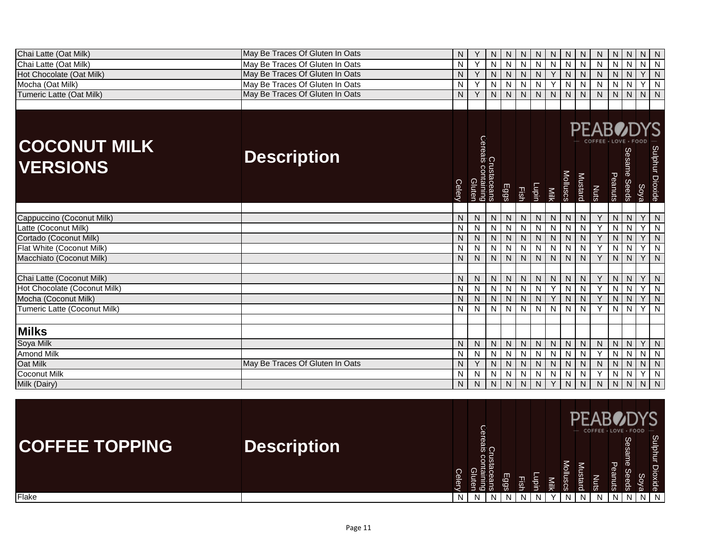| Chai Latte (Oat Milk)                  | May Be Traces Of Gluten In Oats | N      |                                             | Ν              | N              | N            | N            | N    | N            | N                       | N                                                      | N              | N                      | N.             | N               |
|----------------------------------------|---------------------------------|--------|---------------------------------------------|----------------|----------------|--------------|--------------|------|--------------|-------------------------|--------------------------------------------------------|----------------|------------------------|----------------|-----------------|
| Chai Latte (Oat Milk)                  | May Be Traces Of Gluten In Oats | N      | Y                                           | N              | N              | $\mathsf{N}$ | ${\sf N}$    | N    | N            | $\overline{\mathsf{N}}$ | N                                                      | $\overline{N}$ | N                      | $N$ $N$        |                 |
| Hot Chocolate (Oat Milk)               | May Be Traces Of Gluten In Oats | N.     | Y                                           | $\overline{N}$ | ${\sf N}$      | ${\sf N}$    | N.           | Y    | ${\sf N}$    | $\overline{N}$          | ${\sf N}$                                              | ${\sf N}$      | N                      | $\overline{Y}$ | $\mathsf{N}$    |
| Mocha (Oat Milk)                       | May Be Traces Of Gluten In Oats | N      | Y                                           | N              | N              | N            | N            | Υ    | $\mathsf{N}$ | $\mathsf{N}$            | N                                                      | N              | N                      | ٧              | N               |
| Tumeric Latte (Oat Milk)               | May Be Traces Of Gluten In Oats | N      | Υ                                           | N              | $\mathsf{N}$   | N            | N.           | N    | N            | $\mathsf{N}$            | N                                                      | N              | ${\sf N}$              | $N$   $N$      |                 |
|                                        |                                 |        |                                             |                |                |              |              |      |              |                         |                                                        |                |                        |                |                 |
| <b>COCONUT MILK</b><br><b>VERSIONS</b> | <b>Description</b>              | Celery | Crustaceans<br>Cereais containing<br>Gluten |                | Eggs           | Fish         | Lupin        | Milk | Molluscs     | Mustard                 | <b>PEABODYS</b><br>COFFEE · LOVE · FOOI<br><b>Nuts</b> | Peanuts        | Sesame<br><b>Seeds</b> | Soya           | Sulphur Dioxide |
|                                        |                                 |        |                                             |                |                |              |              |      |              |                         |                                                        |                |                        |                |                 |
| Cappuccino (Coconut Milk)              |                                 | N      | N                                           | N              | N              | ${\sf N}$    | N            | N    | $\mathsf{N}$ | N                       | Y                                                      | N              | N                      | Y.             | N               |
| Latte (Coconut Milk)                   |                                 | N      | N                                           | N              | N              | N            | N            | N    | N            | ${\sf N}$               | Y                                                      | N              | N                      | V              | N               |
| Cortado (Coconut Milk)                 |                                 | N      | N                                           | N              | N              | N            | N.           | N    | $\mathsf{N}$ | ${\sf N}$               | Υ                                                      | N              | N                      | Y.             | N               |
| Flat White (Coconut Milk)              |                                 | N      | Ν                                           | N              | $\mathsf{N}$   | N            | N            | N    | $\mathsf{N}$ | $\overline{\mathsf{N}}$ | Y                                                      | N              | N                      | $\checkmark$   | N               |
| Macchiato (Coconut Milk)               |                                 | N.     | $\mathsf{N}$                                | N              | $\mathsf{N}$   | N            | N.           | N    | N            | $\mathsf{N}$            | Y                                                      | N              | N                      | Y.             | N               |
|                                        |                                 |        |                                             |                |                |              |              |      |              |                         |                                                        |                |                        |                |                 |
| Chai Latte (Coconut Milk)              |                                 | N      | N                                           | N              | N              | N            | N            | N    | N            | N                       | Y                                                      | N              | N                      | Y.             | N               |
| Hot Chocolate (Coconut Milk)           |                                 | N      | $\mathsf{N}$                                | $\overline{N}$ | N              | ${\sf N}$    | $\mathsf{N}$ | Y    | N            | ${\sf N}$               | Y                                                      | ${\sf N}$      | N                      | Y              | N               |
| Mocha (Coconut Milk)                   |                                 | N.     | N                                           | N              | ${\sf N}$      | ${\sf N}$    | N            | Y    | $\mathsf{N}$ | $\overline{N}$          | Y                                                      | ${\sf N}$      | N                      | Y.             | $\mathsf{N}$    |
| Tumeric Latte (Coconut Milk)           |                                 | N      | N                                           | ${\sf N}$      | $\mathsf{N}$   | N            | N            | N    | N            | N                       | Y                                                      | N              | N                      | Y.             | N               |
|                                        |                                 |        |                                             |                |                |              |              |      |              |                         |                                                        |                |                        |                |                 |
| <b>Milks</b>                           |                                 |        |                                             |                |                |              |              |      |              |                         |                                                        |                |                        |                |                 |
| Soya Milk                              |                                 | N      | N                                           | N              | ${\sf N}$      | ${\sf N}$    | $\mathsf{N}$ | N    | ${\sf N}$    | ${\sf N}$               | ${\sf N}$                                              | N              | N                      |                | $Y$ N           |
| <b>Amond Milk</b>                      |                                 | N      | N                                           | ${\sf N}$      | $\overline{N}$ | $\mathsf{N}$ | N            | N    | $\mathsf{N}$ | $\overline{N}$          | Y                                                      | N              | N                      | $N$ $N$        |                 |
| Oat Milk                               | May Be Traces Of Gluten In Oats | N      | Υ                                           | N              | ${\sf N}$      | ${\sf N}$    | $\mathsf{N}$ | N    | $\mathsf{N}$ | ${\sf N}$               | ${\sf N}$                                              | $\mathsf{N}$   | ${\sf N}$              | $N$   $N$      |                 |
| <b>Coconut Milk</b>                    |                                 | N      | N                                           | Ν              | $\mathsf{N}$   | N            | N            | N    | N            | N                       | Y                                                      | N              | N                      | v.             | N               |
| Milk (Dairy)                           |                                 | N      | ${\sf N}$                                   | N              | ${\sf N}$      | ${\sf N}$    | $\mathsf{N}$ | Y    | ${\sf N}$    | ${\sf N}$               | ${\sf N}$                                              | N              | $\mathsf{N}$           | N              | $\overline{N}$  |

| <b>COFFEE TOPPING</b> | <b>Description</b> | $\overline{a}$<br>÷ | င္ပ<br>$\bar{a}$<br>Cn<br>US<br>8 និ | ш<br>န္တ |   | 宝 | ⋍<br>₹ | ≧ | ⋍ | COFFEE · LOVE · FOOD | Φ<br>ω<br>-<br>ਛੋ | Sesame<br>တွ | Sulphur<br>모<br>ide<br> |  |
|-----------------------|--------------------|---------------------|--------------------------------------|----------|---|---|--------|---|---|----------------------|-------------------|--------------|-------------------------|--|
| Flake                 |                    |                     |                                      | N        | N |   |        |   |   |                      |                   |              |                         |  |